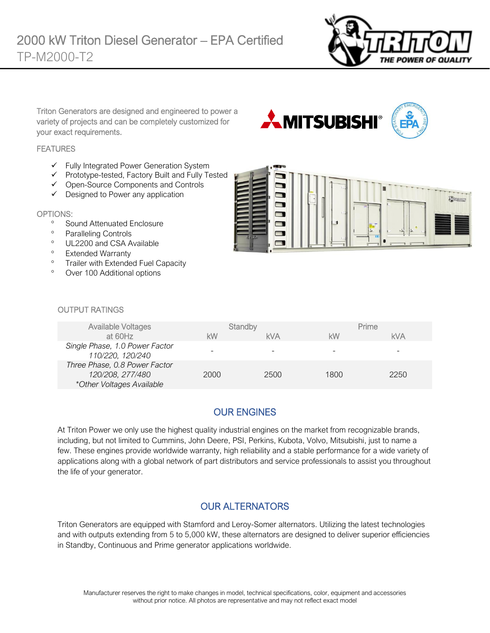

Triton Generators are designed and engineered to power a variety of projects and can be completely customized for your exact requirements.

#### **FEATURES**

- ✓ Fully Integrated Power Generation System
- ✓ Prototype-tested, Factory Built and Fully Tested
- ✓ Open-Source Components and Controls
- ✓ Designed to Power any application

#### OPTIONS:

- <sup>o</sup> Sound Attenuated Enclosure
- <sup>o</sup> Paralleling Controls
- <sup>o</sup> UL2200 and CSA Available
- <sup>o</sup> Extended Warranty
- <sup>o</sup> Trailer with Extended Fuel Capacity
- Over 100 Additional options



**AMITSUBISHI®** 

#### OUTPUT RATINGS

| <b>Available Voltages</b>                                                      |      | Standby    |      | Prime      |
|--------------------------------------------------------------------------------|------|------------|------|------------|
| at 60Hz                                                                        | kW   | <b>kVA</b> | kW   | <b>kVA</b> |
| Single Phase, 1.0 Power Factor<br>110/220, 120/240                             | -    |            |      |            |
| Three Phase, 0.8 Power Factor<br>120/208, 277/480<br>*Other Voltages Available | 2000 | 2500       | 1800 | 2250       |

# OUR ENGINES

At Triton Power we only use the highest quality industrial engines on the market from recognizable brands, including, but not limited to Cummins, John Deere, PSI, Perkins, Kubota, Volvo, Mitsubishi, just to name a few. These engines provide worldwide warranty, high reliability and a stable performance for a wide variety of applications along with a global network of part distributors and service professionals to assist you throughout the life of your generator.

### OUR ALTERNATORS

Triton Generators are equipped with Stamford and Leroy-Somer alternators. Utilizing the latest technologies and with outputs extending from 5 to 5,000 kW, these alternators are designed to deliver superior efficiencies in Standby, Continuous and Prime generator applications worldwide.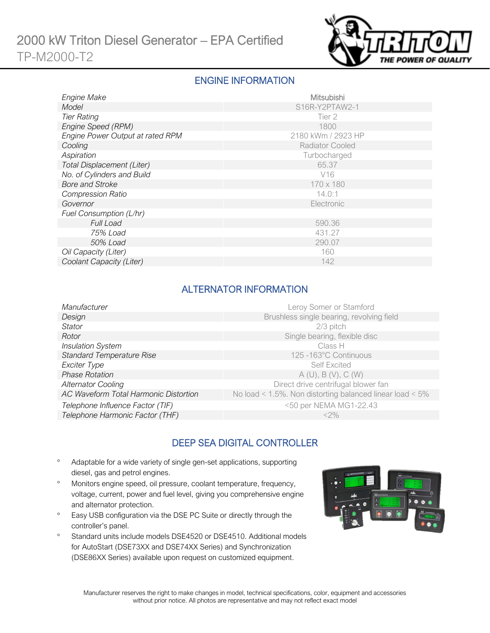

### ENGINE INFORMATION

| Engine Make                      | Mitsubishi             |
|----------------------------------|------------------------|
| Model                            | S16R-Y2PTAW2-1         |
| <b>Tier Rating</b>               | Tier 2                 |
| Engine Speed (RPM)               | 1800                   |
| Engine Power Output at rated RPM | 2180 kWm / 2923 HP     |
| Cooling                          | <b>Radiator Cooled</b> |
| Aspiration                       | Turbocharged           |
| Total Displacement (Liter)       | 65.37                  |
| No. of Cylinders and Build       | V <sub>16</sub>        |
| <b>Bore and Stroke</b>           | 170 x 180              |
| <b>Compression Ratio</b>         | 14.0:1                 |
| Governor                         | Electronic             |
| Fuel Consumption (L/hr)          |                        |
| <b>Full Load</b>                 | 590.36                 |
| 75% Load                         | 431.27                 |
| 50% Load                         | 290.07                 |
| Oil Capacity (Liter)             | 160                    |
| Coolant Capacity (Liter)         | 142                    |

### ALTERNATOR INFORMATION

| Manufacturer                          | Leroy Somer or Stamford                                  |
|---------------------------------------|----------------------------------------------------------|
| Design                                | Brushless single bearing, revolving field                |
| <b>Stator</b>                         | $2/3$ pitch                                              |
| Rotor                                 | Single bearing, flexible disc                            |
| <b>Insulation System</b>              | Class H                                                  |
| <b>Standard Temperature Rise</b>      | 125 -163°C Continuous                                    |
| Exciter Type                          | <b>Self Excited</b>                                      |
| <b>Phase Rotation</b>                 | A(U), B(V), C(W)                                         |
| <b>Alternator Cooling</b>             | Direct drive centrifugal blower fan                      |
| AC Waveform Total Harmonic Distortion | No load < 1.5%. Non distorting balanced linear load < 5% |
| Telephone Influence Factor (TIF)      | <50 per NEMA MG1-22.43                                   |
| Telephone Harmonic Factor (THF)       | $<$ 2%                                                   |

# DEEP SEA DIGITAL CONTROLLER

- Adaptable for a wide variety of single gen-set applications, supporting diesel, gas and petrol engines.
- Monitors engine speed, oil pressure, coolant temperature, frequency, voltage, current, power and fuel level, giving you comprehensive engine and alternator protection.
- <sup>o</sup> Easy USB configuration via the DSE PC Suite or directly through the controller's panel.
- <sup>o</sup> Standard units include models DSE4520 or DSE4510. Additional models for AutoStart (DSE73XX and DSE74XX Series) and Synchronization (DSE86XX Series) available upon request on customized equipment.

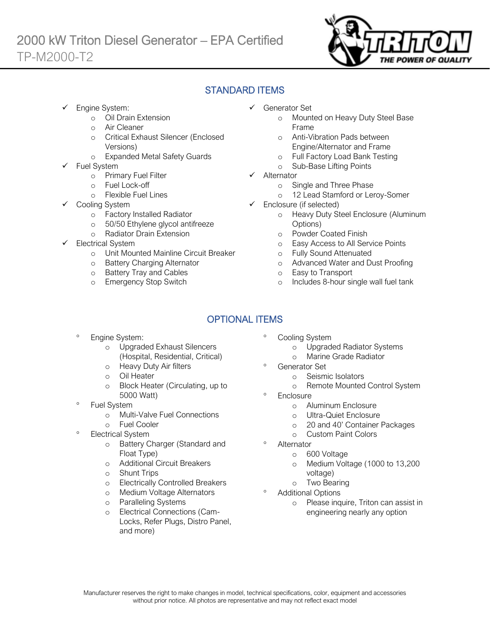

### STANDARD ITEMS

Engine System:

Ī

- o Oil Drain Extension
- o Air Cleaner
- o Critical Exhaust Silencer (Enclosed Versions)
- o Expanded Metal Safety Guards
- Fuel System
	- o Primary Fuel Filter
	- o Fuel Lock-off
		- o Flexible Fuel Lines
	- Cooling System
		- o Factory Installed Radiator
		- o 50/50 Ethylene glycol antifreeze
		- o Radiator Drain Extension
- Electrical System
	- o Unit Mounted Mainline Circuit Breaker
	- o Battery Charging Alternator
	- o Battery Tray and Cables
	- o Emergency Stop Switch
- ✓ Generator Set
	- o Mounted on Heavy Duty Steel Base Frame
	- o Anti-Vibration Pads between Engine/Alternator and Frame
	- o Full Factory Load Bank Testing
	- o Sub-Base Lifting Points
- ✓ Alternator
	- o Single and Three Phase
	- o 12 Lead Stamford or Leroy-Somer
- ✓ Enclosure (if selected)
	- o Heavy Duty Steel Enclosure (Aluminum Options)
	- o Powder Coated Finish
	- o Easy Access to All Service Points
	- o Fully Sound Attenuated
	- o Advanced Water and Dust Proofing
	- o Easy to Transport
	- o Includes 8-hour single wall fuel tank

# OPTIONAL ITEMS

- Engine System:
	- o Upgraded Exhaust Silencers (Hospital, Residential, Critical)
	- o Heavy Duty Air filters
	- o Oil Heater
	- o Block Heater (Circulating, up to 5000 Watt)
- Fuel System
	- o Multi-Valve Fuel Connections
	- o Fuel Cooler
- Electrical System
	- o Battery Charger (Standard and Float Type)
	- o Additional Circuit Breakers
	- o Shunt Trips
	- o Electrically Controlled Breakers
	- o Medium Voltage Alternators
	- o Paralleling Systems
	- o Electrical Connections (Cam-Locks, Refer Plugs, Distro Panel, and more)
- Cooling System
	- o Upgraded Radiator Systems
	- o Marine Grade Radiator
	- Generator Set
		- o Seismic Isolators
		- o Remote Mounted Control System
- **Enclosure** 
	- o Aluminum Enclosure
	- o Ultra-Quiet Enclosure
	- o 20 and 40' Container Packages
	- o Custom Paint Colors
- Alternator
	- o 600 Voltage
	- o Medium Voltage (1000 to 13,200 voltage)
	- o Two Bearing
- Additional Options
	- o Please inquire, Triton can assist in engineering nearly any option